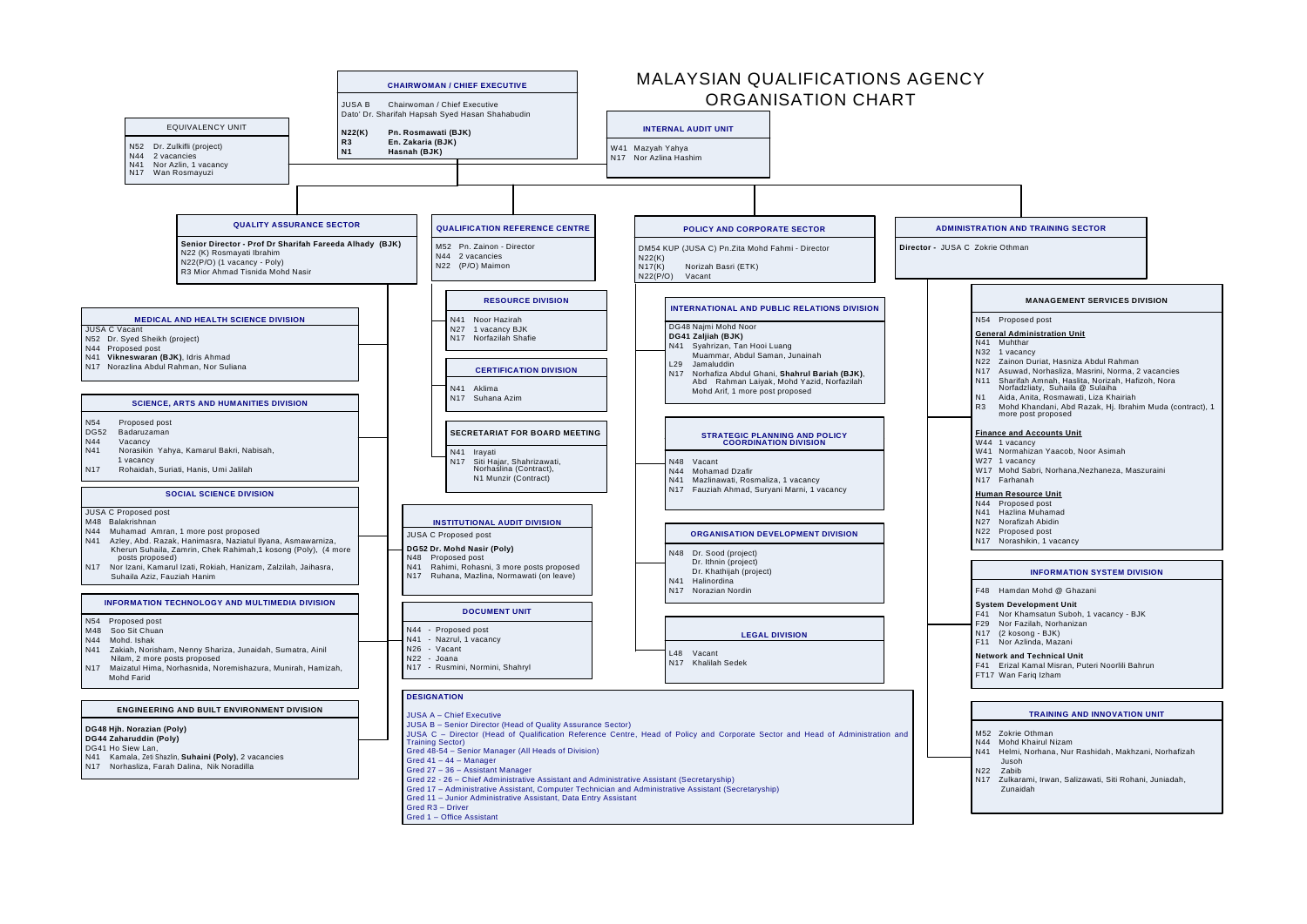- N44 Proposed post
- N41 Hazlina Muhamad
- N27 Norafizah Abidin
- N22 Proposed post
- N<sub>17</sub> Norashikin, 1 vacancy

# **ADMINISTRATION AND TRAINING SECTOR**



#### **INFORMATION SYSTEM DIVISION**

F48 Hamdan Mohd @ Ghazani

### **System Development Unit**

- F41 Nor Khamsatun Suboh, 1 vacancy BJK
- F29 Nor Fazilah, Norhanizan
- N17 (2 kosong BJK)

# **Network and Technical Unit**

F41 Erizal Kamal Misran, Puteri Noorlili Bahrun

FT17 Wan Fariq Izham

# **TRAINING AND INNOVATION UNIT**

- M52 Zokrie Othman
- N44 Mohd Khairul Nizam
- N41 Helmi, Norhana, Nur Rashidah, Makhzani, Norhafizah Jusoh
- N22 Zabib
- N17 Zulkarami, Irwan, Salizawati, Siti Rohani, Juniadah,
- Zunaidah

# **MANAGEMENT SERVICES DIVISION**

#### N54 Proposed post

#### **General Administration Unit**

- N41 MuhtharN32 1 vacancy
- N22 Zainon Duriat, Hasniza Abdul Rahman
- N17 Asuwad, Norhasliza, Masrini, Norma, 2 vacancies N11 Sharifah Amnah, Haslita, Norizah, Hafizoh, Nora Norfadzliaty, Suhaila @ Sulaiha
	- Aida, Anita, Rosmawati, Liza Khairiah
- R3 Mohd Khandani, Abd Razak, Hj. Ibrahim Muda (contract), 1 more post proposed

#### **Finance and Accounts Unit**

- W44 1 vacancy
- W41 Normahizan Yaacob, Noor Asimah
- W27 1 vacancy
- W17 Mohd Sabri, Norhana,Nezhaneza, Maszuraini

# **Human Resource Unit**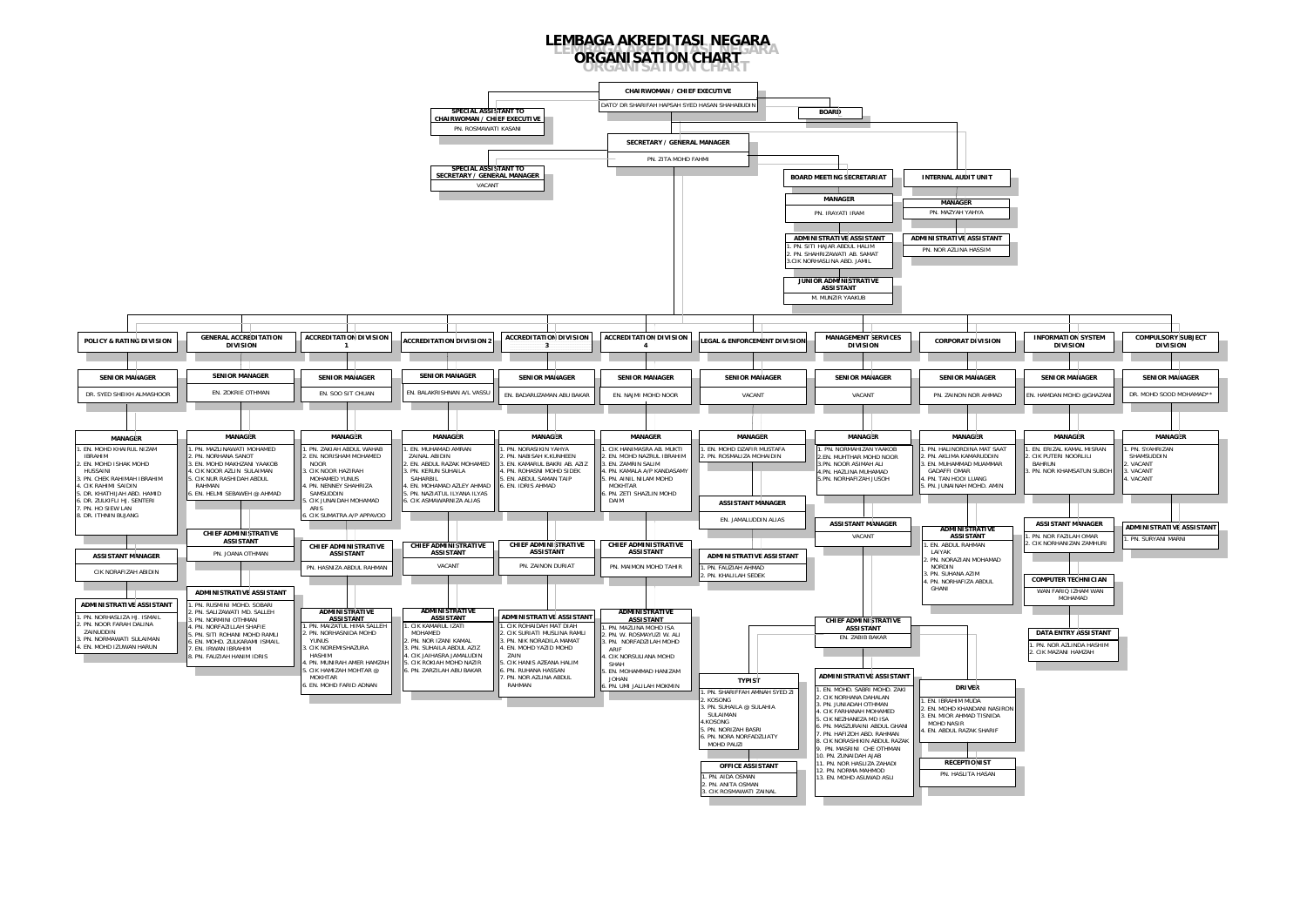